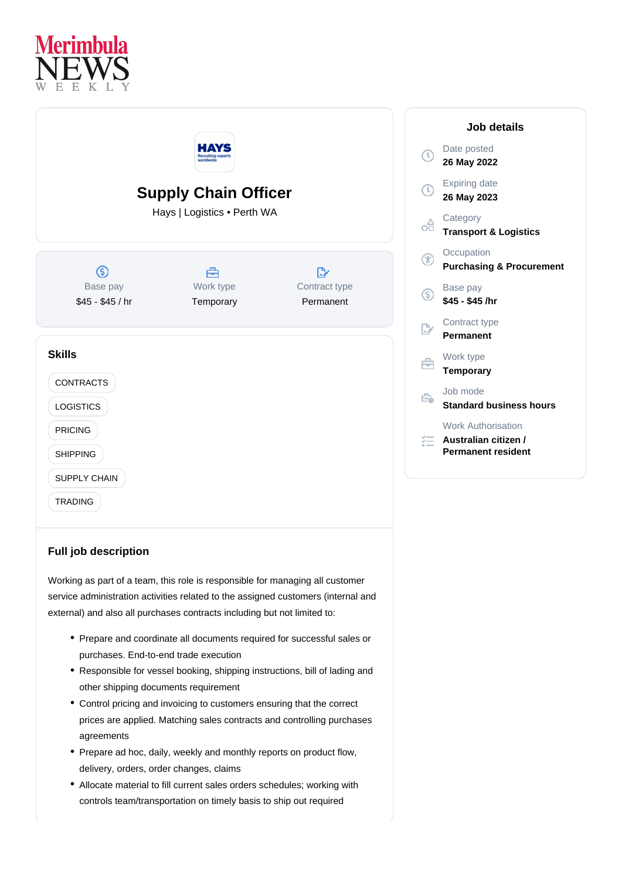



## **Full job description**

Working as part of a team, this role is responsible for managing all customer service administration activities related to the assigned customers (internal and external) and also all purchases contracts including but not limited to:

- Prepare and coordinate all documents required for successful sales or purchases. End-to-end trade execution
- Responsible for vessel booking, shipping instructions, bill of lading and other shipping documents requirement
- Control pricing and invoicing to customers ensuring that the correct prices are applied. Matching sales contracts and controlling purchases agreements
- Prepare ad hoc, daily, weekly and monthly reports on product flow, delivery, orders, order changes, claims
- Allocate material to fill current sales orders schedules; working with controls team/transportation on timely basis to ship out required